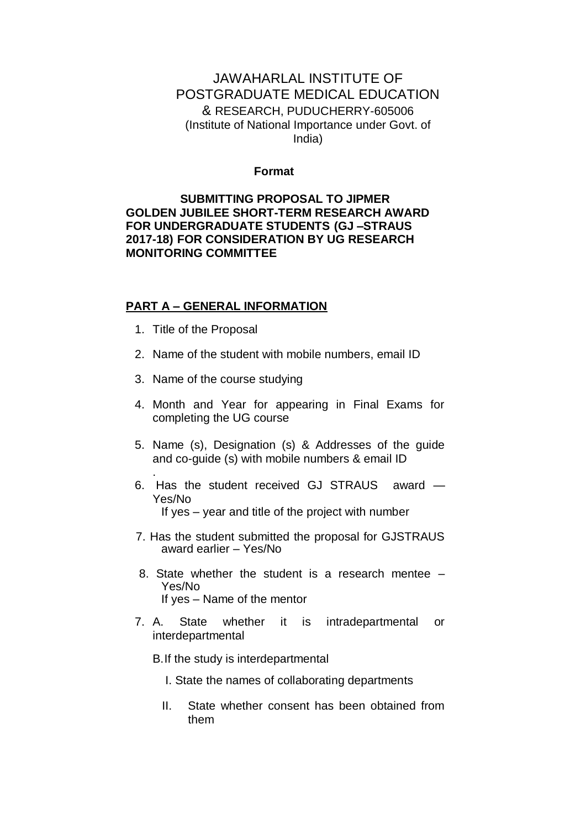## JAWAHARLAL INSTITUTE OF POSTGRADUATE MEDICAL EDUCATION & RESEARCH, PUDUCHERRY-605006 (Institute of National Importance under Govt. of India)

#### **Format**

### **SUBMITTING PROPOSAL TO JIPMER GOLDEN JUBILEE SHORT-TERM RESEARCH AWARD FOR UNDERGRADUATE STUDENTS (GJ –STRAUS 2017-18) FOR CONSIDERATION BY UG RESEARCH MONITORING COMMITTEE**

#### **PART A – GENERAL INFORMATION**

1. Title of the Proposal

.

- 2. Name of the student with mobile numbers, email ID
- 3. Name of the course studying
- 4. Month and Year for appearing in Final Exams for completing the UG course
- 5. Name (s), Designation (s) & Addresses of the guide and co-guide (s) with mobile numbers & email ID
- 6. Has the student received GJ STRAUS award Yes/No If yes – year and title of the project with number
- 7. Has the student submitted the proposal for GJSTRAUS award earlier – Yes/No
- 8. State whether the student is a research mentee Yes/No If yes – Name of the mentor
- 7. A. State whether it is intradepartmental or interdepartmental
	- B.If the study is interdepartmental
		- I. State the names of collaborating departments
		- II. State whether consent has been obtained from them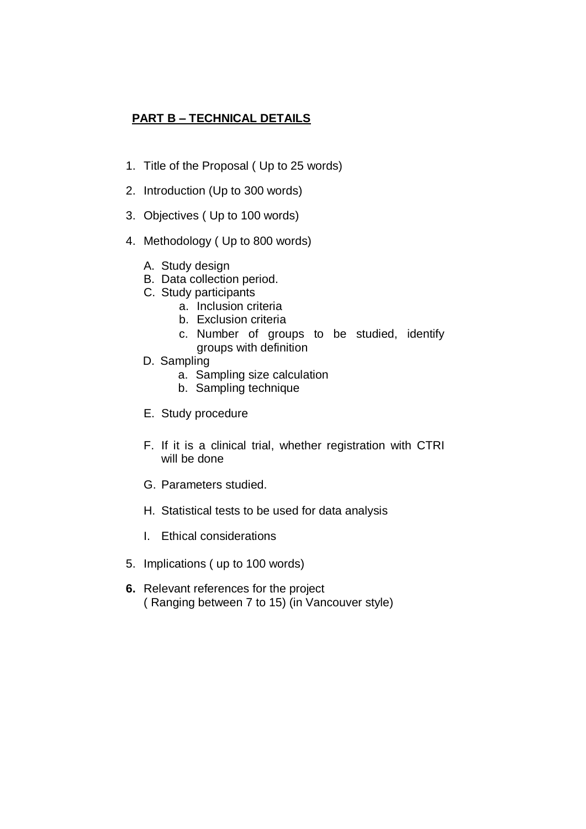## **PART B – TECHNICAL DETAILS**

- 1. Title of the Proposal ( Up to 25 words)
- 2. Introduction (Up to 300 words)
- 3. Objectives ( Up to 100 words)
- 4. Methodology ( Up to 800 words)
	- A. Study design
	- B. Data collection period.
	- C. Study participants
		- a. Inclusion criteria
		- b. Exclusion criteria
		- c. Number of groups to be studied, identify groups with definition
	- D. Sampling
		- a. Sampling size calculation
		- b. Sampling technique
	- E. Study procedure
	- F. If it is a clinical trial, whether registration with CTRI will be done
	- G. Parameters studied.
	- H. Statistical tests to be used for data analysis
	- I. Ethical considerations
- 5. Implications ( up to 100 words)
- **6.** Relevant references for the project ( Ranging between 7 to 15) (in Vancouver style)